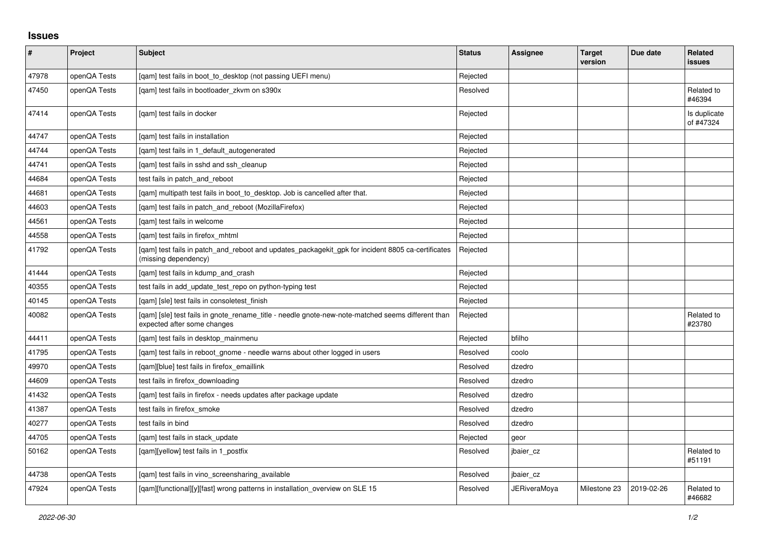## **Issues**

| $\sharp$ | Project      | <b>Subject</b>                                                                                                                   | <b>Status</b> | <b>Assignee</b>     | <b>Target</b><br>version | Due date   | Related<br><b>issues</b>  |
|----------|--------------|----------------------------------------------------------------------------------------------------------------------------------|---------------|---------------------|--------------------------|------------|---------------------------|
| 47978    | openQA Tests | [gam] test fails in boot to desktop (not passing UEFI menu)                                                                      | Rejected      |                     |                          |            |                           |
| 47450    | openQA Tests | [gam] test fails in bootloader zkvm on s390x                                                                                     | Resolved      |                     |                          |            | Related to<br>#46394      |
| 47414    | openQA Tests | [qam] test fails in docker                                                                                                       | Rejected      |                     |                          |            | Is duplicate<br>of #47324 |
| 44747    | openQA Tests | [qam] test fails in installation                                                                                                 | Rejected      |                     |                          |            |                           |
| 44744    | openQA Tests | [gam] test fails in 1 default autogenerated                                                                                      | Rejected      |                     |                          |            |                           |
| 44741    | openQA Tests | [gam] test fails in sshd and ssh cleanup                                                                                         | Rejected      |                     |                          |            |                           |
| 44684    | openQA Tests | test fails in patch_and_reboot                                                                                                   | Rejected      |                     |                          |            |                           |
| 44681    | openQA Tests | [gam] multipath test fails in boot to desktop. Job is cancelled after that.                                                      | Rejected      |                     |                          |            |                           |
| 44603    | openQA Tests | [gam] test fails in patch and reboot (MozillaFirefox)                                                                            | Rejected      |                     |                          |            |                           |
| 44561    | openQA Tests | [qam] test fails in welcome                                                                                                      | Rejected      |                     |                          |            |                           |
| 44558    | openQA Tests | [qam] test fails in firefox_mhtml                                                                                                | Rejected      |                     |                          |            |                           |
| 41792    | openQA Tests | [gam] test fails in patch and reboot and updates packagekit gpk for incident 8805 ca-certificates<br>(missing dependency)        | Rejected      |                     |                          |            |                           |
| 41444    | openQA Tests | [gam] test fails in kdump and crash                                                                                              | Rejected      |                     |                          |            |                           |
| 40355    | openQA Tests | test fails in add_update_test_repo on python-typing test                                                                         | Rejected      |                     |                          |            |                           |
| 40145    | openQA Tests | [gam] [sle] test fails in consoletest finish                                                                                     | Rejected      |                     |                          |            |                           |
| 40082    | openQA Tests | [gam] [sle] test fails in gnote rename title - needle gnote-new-note-matched seems different than<br>expected after some changes | Rejected      |                     |                          |            | Related to<br>#23780      |
| 44411    | openQA Tests | [gam] test fails in desktop mainmenu                                                                                             | Rejected      | bfilho              |                          |            |                           |
| 41795    | openQA Tests | [qam] test fails in reboot_gnome - needle warns about other logged in users                                                      | Resolved      | coolo               |                          |            |                           |
| 49970    | openQA Tests | [gam][blue] test fails in firefox emaillink                                                                                      | Resolved      | dzedro              |                          |            |                           |
| 44609    | openQA Tests | test fails in firefox downloading                                                                                                | Resolved      | dzedro              |                          |            |                           |
| 41432    | openQA Tests | [gam] test fails in firefox - needs updates after package update                                                                 | Resolved      | dzedro              |                          |            |                           |
| 41387    | openQA Tests | test fails in firefox_smoke                                                                                                      | Resolved      | dzedro              |                          |            |                           |
| 40277    | openQA Tests | test fails in bind                                                                                                               | Resolved      | dzedro              |                          |            |                           |
| 44705    | openQA Tests | [gam] test fails in stack update                                                                                                 | Rejected      | geor                |                          |            |                           |
| 50162    | openQA Tests | [qam][yellow] test fails in 1_postfix                                                                                            | Resolved      | jbaier cz           |                          |            | Related to<br>#51191      |
| 44738    | openQA Tests | [gam] test fails in vino screensharing available                                                                                 | Resolved      | jbaier cz           |                          |            |                           |
| 47924    | openQA Tests | [qam][functional][y][fast] wrong patterns in installation_overview on SLE 15                                                     | Resolved      | <b>JERiveraMoya</b> | Milestone 23             | 2019-02-26 | Related to<br>#46682      |